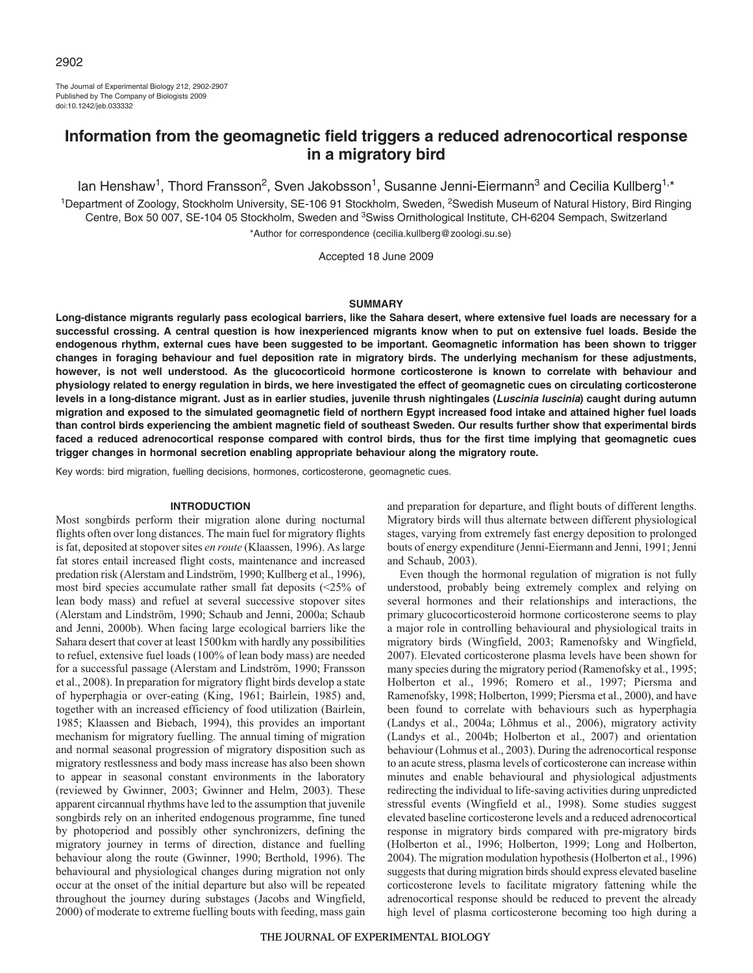The Journal of Experimental Biology 212, 2902-2907 Published by The Company of Biologists 2009 doi:10.1242/jeb.033332

# **Information from the geomagnetic field triggers a reduced adrenocortical response in a migratory bird**

lan Henshaw<sup>1</sup>, Thord Fransson<sup>2</sup>, Sven Jakobsson<sup>1</sup>, Susanne Jenni-Eiermann<sup>3</sup> and Cecilia Kullberg<sup>1,\*</sup>

<sup>1</sup>Department of Zoology, Stockholm University, SE-106 91 Stockholm, Sweden, <sup>2</sup>Swedish Museum of Natural History, Bird Ringing Centre, Box 50 007, SE-104 05 Stockholm, Sweden and <sup>3</sup>Swiss Ornithological Institute, CH-6204 Sempach, Switzerland \*Author for correspondence (cecilia.kullberg@zoologi.su.se)

Accepted 18 June 2009

#### **SUMMARY**

**Long-distance migrants regularly pass ecological barriers, like the Sahara desert, where extensive fuel loads are necessary for a successful crossing. A central question is how inexperienced migrants know when to put on extensive fuel loads. Beside the endogenous rhythm, external cues have been suggested to be important. Geomagnetic information has been shown to trigger changes in foraging behaviour and fuel deposition rate in migratory birds. The underlying mechanism for these adjustments, however, is not well understood. As the glucocorticoid hormone corticosterone is known to correlate with behaviour and physiology related to energy regulation in birds, we here investigated the effect of geomagnetic cues on circulating corticosterone levels in a long-distance migrant. Just as in earlier studies, juvenile thrush nightingales (Luscinia luscinia) caught during autumn migration and exposed to the simulated geomagnetic field of northern Egypt increased food intake and attained higher fuel loads than control birds experiencing the ambient magnetic field of southeast Sweden. Our results further show that experimental birds faced a reduced adrenocortical response compared with control birds, thus for the first time implying that geomagnetic cues trigger changes in hormonal secretion enabling appropriate behaviour along the migratory route.**

Key words: bird migration, fuelling decisions, hormones, corticosterone, geomagnetic cues.

## **INTRODUCTION**

Most songbirds perform their migration alone during nocturnal flights often over long distances. The main fuel for migratory flights is fat, deposited at stopover sites *en route* (Klaassen, 1996). As large fat stores entail increased flight costs, maintenance and increased predation risk (Alerstam and Lindström, 1990; Kullberg et al., 1996), most bird species accumulate rather small fat deposits (<25% of lean body mass) and refuel at several successive stopover sites (Alerstam and Lindström, 1990; Schaub and Jenni, 2000a; Schaub and Jenni, 2000b). When facing large ecological barriers like the Sahara desert that cover at least 1500km with hardly any possibilities to refuel, extensive fuel loads (100% of lean body mass) are needed for a successful passage (Alerstam and Lindström, 1990; Fransson et al., 2008). In preparation for migratory flight birds develop a state of hyperphagia or over-eating (King, 1961; Bairlein, 1985) and, together with an increased efficiency of food utilization (Bairlein, 1985; Klaassen and Biebach, 1994), this provides an important mechanism for migratory fuelling. The annual timing of migration and normal seasonal progression of migratory disposition such as migratory restlessness and body mass increase has also been shown to appear in seasonal constant environments in the laboratory (reviewed by Gwinner, 2003; Gwinner and Helm, 2003). These apparent circannual rhythms have led to the assumption that juvenile songbirds rely on an inherited endogenous programme, fine tuned by photoperiod and possibly other synchronizers, defining the migratory journey in terms of direction, distance and fuelling behaviour along the route (Gwinner, 1990; Berthold, 1996). The behavioural and physiological changes during migration not only occur at the onset of the initial departure but also will be repeated throughout the journey during substages (Jacobs and Wingfield, 2000) of moderate to extreme fuelling bouts with feeding, mass gain

and preparation for departure, and flight bouts of different lengths. Migratory birds will thus alternate between different physiological stages, varying from extremely fast energy deposition to prolonged bouts of energy expenditure (Jenni-Eiermann and Jenni, 1991; Jenni and Schaub, 2003).

Even though the hormonal regulation of migration is not fully understood, probably being extremely complex and relying on several hormones and their relationships and interactions, the primary glucocorticosteroid hormone corticosterone seems to play a major role in controlling behavioural and physiological traits in migratory birds (Wingfield, 2003; Ramenofsky and Wingfield, 2007). Elevated corticosterone plasma levels have been shown for many species during the migratory period (Ramenofsky et al., 1995; Holberton et al., 1996; Romero et al., 1997; Piersma and Ramenofsky, 1998; Holberton, 1999; Piersma et al., 2000), and have been found to correlate with behaviours such as hyperphagia (Landys et al., 2004a; Lõhmus et al., 2006), migratory activity (Landys et al., 2004b; Holberton et al., 2007) and orientation behaviour (Lohmus et al., 2003). During the adrenocortical response to an acute stress, plasma levels of corticosterone can increase within minutes and enable behavioural and physiological adjustments redirecting the individual to life-saving activities during unpredicted stressful events (Wingfield et al., 1998). Some studies suggest elevated baseline corticosterone levels and a reduced adrenocortical response in migratory birds compared with pre-migratory birds (Holberton et al., 1996; Holberton, 1999; Long and Holberton, 2004). The migration modulation hypothesis (Holberton et al., 1996) suggests that during migration birds should express elevated baseline corticosterone levels to facilitate migratory fattening while the adrenocortical response should be reduced to prevent the already high level of plasma corticosterone becoming too high during a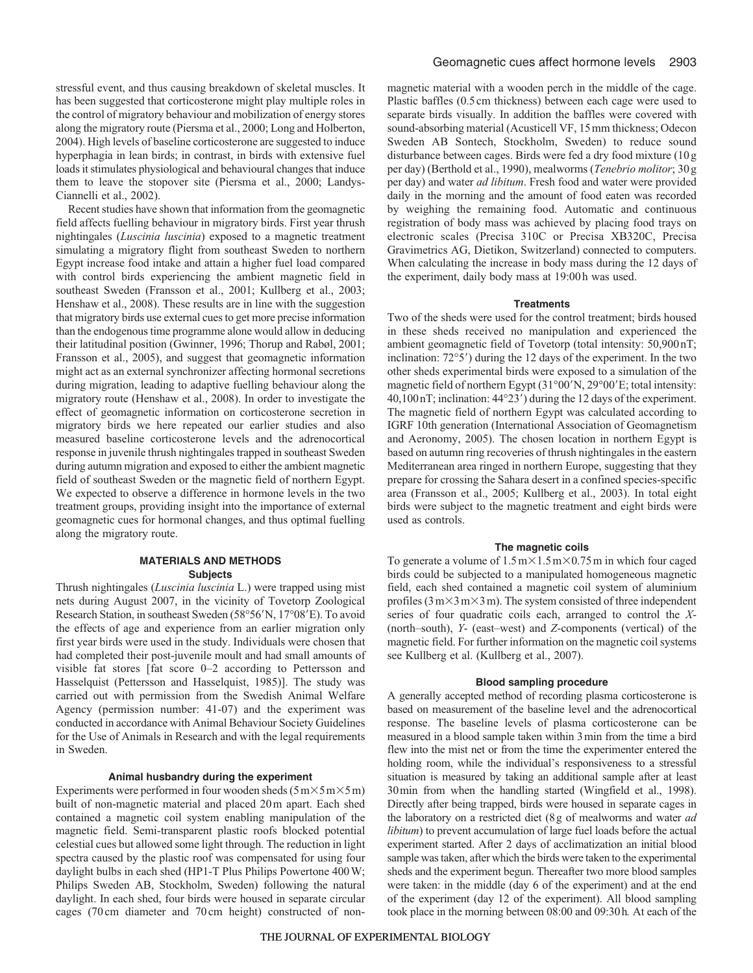stressful event, and thus causing breakdown of skeletal muscles. It has been suggested that corticosterone might play multiple roles in the control of migratory behaviour and mobilization of energy stores along the migratory route (Piersma et al., 2000; Long and Holberton, 2004). High levels of baseline corticosterone are suggested to induce hyperphagia in lean birds; in contrast, in birds with extensive fuel loads it stimulates physiological and behavioural changes that induce them to leave the stopover site (Piersma et al., 2000; Landys-Ciannelli et al., 2002).

Recent studies have shown that information from the geomagnetic field affects fuelling behaviour in migratory birds. First year thrush nightingales (*Luscinia luscinia*) exposed to a magnetic treatment simulating a migratory flight from southeast Sweden to northern Egypt increase food intake and attain a higher fuel load compared with control birds experiencing the ambient magnetic field in southeast Sweden (Fransson et al., 2001; Kullberg et al., 2003; Henshaw et al., 2008). These results are in line with the suggestion that migratory birds use external cues to get more precise information than the endogenous time programme alone would allow in deducing their latitudinal position (Gwinner, 1996; Thorup and Rabøl, 2001; Fransson et al., 2005), and suggest that geomagnetic information might act as an external synchronizer affecting hormonal secretions during migration, leading to adaptive fuelling behaviour along the migratory route (Henshaw et al., 2008). In order to investigate the effect of geomagnetic information on corticosterone secretion in migratory birds we here repeated our earlier studies and also measured baseline corticosterone levels and the adrenocortical response in juvenile thrush nightingales trapped in southeast Sweden during autumn migration and exposed to either the ambient magnetic field of southeast Sweden or the magnetic field of northern Egypt. We expected to observe a difference in hormone levels in the two treatment groups, providing insight into the importance of external geomagnetic cues for hormonal changes, and thus optimal fuelling along the migratory route.

## **MATERIALS AND METHODS Subjects**

Thrush nightingales (*Luscinia luscinia* L.) were trapped using mist nets during August 2007, in the vicinity of Tovetorp Zoological Research Station, in southeast Sweden (58°56'N, 17°08'E). To avoid the effects of age and experience from an earlier migration only first year birds were used in the study. Individuals were chosen that had completed their post-juvenile moult and had small amounts of visible fat stores [fat score 0–2 according to Pettersson and Hasselquist (Pettersson and Hasselquist, 1985)]. The study was carried out with permission from the Swedish Animal Welfare Agency (permission number: 41-07) and the experiment was conducted in accordance with Animal Behaviour Society Guidelines for the Use of Animals in Research and with the legal requirements in Sweden.

#### **Animal husbandry during the experiment**

Experiments were performed in four wooden sheds  $(5 \text{ m} \times 5 \text{ m} \times 5 \text{ m})$ built of non-magnetic material and placed 20m apart. Each shed contained a magnetic coil system enabling manipulation of the magnetic field. Semi-transparent plastic roofs blocked potential celestial cues but allowed some light through. The reduction in light spectra caused by the plastic roof was compensated for using four daylight bulbs in each shed (HP1-T Plus Philips Powertone 400W; Philips Sweden AB, Stockholm, Sweden) following the natural daylight. In each shed, four birds were housed in separate circular cages (70cm diameter and 70cm height) constructed of nonmagnetic material with a wooden perch in the middle of the cage. Plastic baffles (0.5cm thickness) between each cage were used to separate birds visually. In addition the baffles were covered with sound-absorbing material (Acusticell VF, 15mm thickness; Odecon Sweden AB Sontech, Stockholm, Sweden) to reduce sound disturbance between cages. Birds were fed a dry food mixture (10g per day) (Berthold et al., 1990), mealworms (*Tenebrio molitor*; 30g per day) and water *ad libitum*. Fresh food and water were provided daily in the morning and the amount of food eaten was recorded by weighing the remaining food. Automatic and continuous registration of body mass was achieved by placing food trays on electronic scales (Precisa 310C or Precisa XB320C, Precisa Gravimetrics AG, Dietikon, Switzerland) connected to computers. When calculating the increase in body mass during the 12 days of the experiment, daily body mass at 19:00h was used.

#### **Treatments**

Two of the sheds were used for the control treatment; birds housed in these sheds received no manipulation and experienced the ambient geomagnetic field of Tovetorp (total intensity: 50,900nT; inclination: 72°5') during the 12 days of the experiment. In the two other sheds experimental birds were exposed to a simulation of the magnetic field of northern Egypt (31°00'N, 29°00'E; total intensity: 40,100 nT; inclination: 44°23') during the 12 days of the experiment. The magnetic field of northern Egypt was calculated according to IGRF 10th generation (International Association of Geomagnetism and Aeronomy, 2005). The chosen location in northern Egypt is based on autumn ring recoveries of thrush nightingales in the eastern Mediterranean area ringed in northern Europe, suggesting that they prepare for crossing the Sahara desert in a confined species-specific area (Fransson et al., 2005; Kullberg et al., 2003). In total eight birds were subject to the magnetic treatment and eight birds were used as controls.

#### **The magnetic coils**

To generate a volume of  $1.5 \text{ m} \times 1.5 \text{ m} \times 0.75 \text{ m}$  in which four caged birds could be subjected to a manipulated homogeneous magnetic field, each shed contained a magnetic coil system of aluminium profiles  $(3 \text{ m} \times 3 \text{ m})$ . The system consisted of three independent series of four quadratic coils each, arranged to control the *X*- (north–south), *Y*- (east–west) and *Z*-components (vertical) of the magnetic field. For further information on the magnetic coil systems see Kullberg et al. (Kullberg et al., 2007).

#### **Blood sampling procedure**

A generally accepted method of recording plasma corticosterone is based on measurement of the baseline level and the adrenocortical response. The baseline levels of plasma corticosterone can be measured in a blood sample taken within 3min from the time a bird flew into the mist net or from the time the experimenter entered the holding room, while the individual's responsiveness to a stressful situation is measured by taking an additional sample after at least 30min from when the handling started (Wingfield et al., 1998). Directly after being trapped, birds were housed in separate cages in the laboratory on a restricted diet (8g of mealworms and water *ad libitum*) to prevent accumulation of large fuel loads before the actual experiment started. After 2 days of acclimatization an initial blood sample was taken, after which the birds were taken to the experimental sheds and the experiment begun. Thereafter two more blood samples were taken: in the middle (day 6 of the experiment) and at the end of the experiment (day 12 of the experiment). All blood sampling took place in the morning between 08:00 and 09:30h*.* At each of the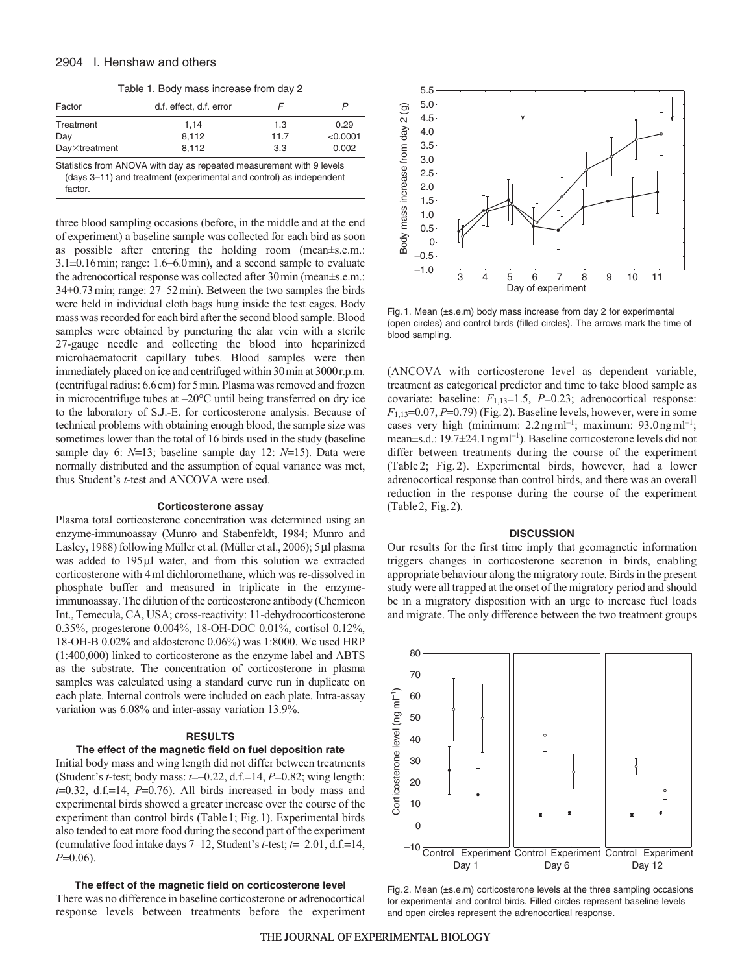## 2904 I. Henshaw and others

Table 1. Body mass increase from day 2

| Factor                | d.f. effect, d.f. error |      | 0.29     |  |
|-----------------------|-------------------------|------|----------|--|
| Treatment             | 1.14                    | 1.3  |          |  |
| Day                   | 8.112                   | 11.7 | < 0.0001 |  |
| $Day\times treatment$ | 8.112                   | 3.3  | 0.002    |  |

Statistics from ANOVA with day as repeated measurement with 9 levels (days 3–11) and treatment (experimental and control) as independent factor.

three blood sampling occasions (before, in the middle and at the end of experiment) a baseline sample was collected for each bird as soon as possible after entering the holding room (mean±s.e.m.: 3.1±0.16min; range: 1.6–6.0min), and a second sample to evaluate the adrenocortical response was collected after 30min (mean±s.e.m.: 34±0.73min; range: 27–52min). Between the two samples the birds were held in individual cloth bags hung inside the test cages. Body mass was recorded for each bird after the second blood sample. Blood samples were obtained by puncturing the alar vein with a sterile 27-gauge needle and collecting the blood into heparinized microhaematocrit capillary tubes. Blood samples were then immediately placed on ice and centrifuged within 30min at 3000r.p.m. (centrifugal radius: 6.6cm) for 5min. Plasma was removed and frozen in microcentrifuge tubes at –20°C until being transferred on dry ice to the laboratory of S.J.-E. for corticosterone analysis. Because of technical problems with obtaining enough blood, the sample size was sometimes lower than the total of 16 birds used in the study (baseline sample day 6: *N*=13; baseline sample day 12: *N*=15). Data were normally distributed and the assumption of equal variance was met, thus Student's *t*-test and ANCOVA were used.

## **Corticosterone assay**

Plasma total corticosterone concentration was determined using an enzyme-immunoassay (Munro and Stabenfeldt, 1984; Munro and Lasley, 1988) following Müller et al. (Müller et al., 2006); 5μl plasma was added to 195μl water, and from this solution we extracted corticosterone with 4ml dichloromethane, which was re-dissolved in phosphate buffer and measured in triplicate in the enzymeimmunoassay. The dilution of the corticosterone antibody (Chemicon Int., Temecula, CA, USA; cross-reactivity: 11-dehydrocorticosterone 0.35%, progesterone 0.004%, 18-OH-DOC 0.01%, cortisol 0.12%, 18-OH-B 0.02% and aldosterone 0.06%) was 1:8000. We used HRP (1:400,000) linked to corticosterone as the enzyme label and ABTS as the substrate. The concentration of corticosterone in plasma samples was calculated using a standard curve run in duplicate on each plate. Internal controls were included on each plate. Intra-assay variation was 6.08% and inter-assay variation 13.9%.

## **RESULTS**

# **The effect of the magnetic field on fuel deposition rate**

Initial body mass and wing length did not differ between treatments (Student's *t*-test; body mass: *t*=–0.22, d.f.=14, *P*=0.82; wing length: *t*=0.32, d.f.=14, *P*=0.76). All birds increased in body mass and experimental birds showed a greater increase over the course of the experiment than control birds (Table1; Fig.1). Experimental birds also tended to eat more food during the second part of the experiment (cumulative food intake days 7–12, Student's *t*-test; *t*=–2.01, d.f.=14, *P*=0.06).

**The effect of the magnetic field on corticosterone level** There was no difference in baseline corticosterone or adrenocortical response levels between treatments before the experiment



Fig. 1. Mean (±s.e.m) body mass increase from day 2 for experimental (open circles) and control birds (filled circles). The arrows mark the time of blood sampling.

(ANCOVA with corticosterone level as dependent variable, treatment as categorical predictor and time to take blood sample as covariate: baseline: *F*1,13=1.5, *P*=0.23; adrenocortical response: *F*1,13=0.07, *P*=0.79) (Fig.2). Baseline levels, however, were in some cases very high (minimum:  $2.2 \text{ ng m}^{-1}$ ; maximum:  $93.0 \text{ ng m}^{-1}$ ; mean±s.d.: 19.7±24.1ngml–1). Baseline corticosterone levels did not differ between treatments during the course of the experiment (Table 2; Fig. 2). Experimental birds, however, had a lower adrenocortical response than control birds, and there was an overall reduction in the response during the course of the experiment (Table2, Fig.2).

## **DISCUSSION**

Our results for the first time imply that geomagnetic information triggers changes in corticosterone secretion in birds, enabling appropriate behaviour along the migratory route. Birds in the present study were all trapped at the onset of the migratory period and should be in a migratory disposition with an urge to increase fuel loads and migrate. The only difference between the two treatment groups



Fig. 2. Mean (±s.e.m) corticosterone levels at the three sampling occasions for experimental and control birds. Filled circles represent baseline levels and open circles represent the adrenocortical response.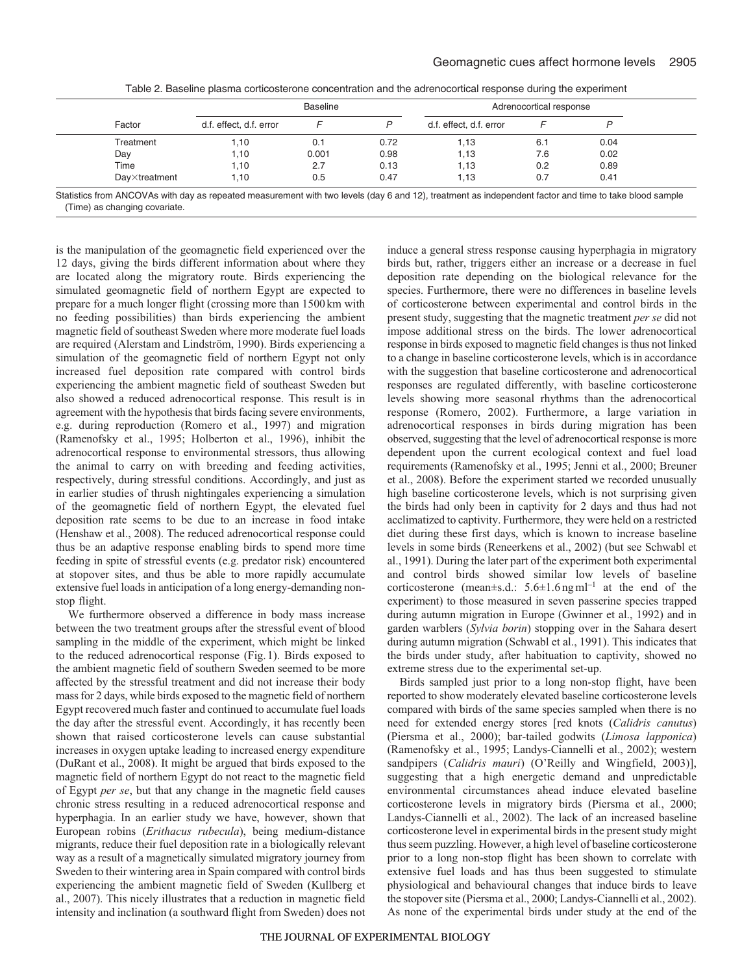| Factor                | <b>Baseline</b>         |       |      | Adrenocortical response |     |      |
|-----------------------|-------------------------|-------|------|-------------------------|-----|------|
|                       | d.f. effect, d.f. error |       | D    | d.f. effect, d.f. error |     |      |
| Treatment             | 1,10                    | 0.1   | 0.72 | 1,13                    | 6.7 | 0.04 |
| Day                   | 1,10                    | 0.001 | 0.98 | 1,13                    | 7.6 | 0.02 |
| Time                  | 1,10                    | 2.7   | 0.13 | 1,13                    | 0.2 | 0.89 |
| $Day\times treatment$ | 1.10                    | 0.5   | 0.47 | 1.13                    | 0.7 | 0.41 |

Table 2. Baseline plasma corticosterone concentration and the adrenocortical response during the experiment

Statistics from ANCOVAs with day as repeated measurement with two levels (day 6 and 12), treatment as independent factor and time to take blood sample (Time) as changing covariate.

is the manipulation of the geomagnetic field experienced over the 12 days, giving the birds different information about where they are located along the migratory route. Birds experiencing the simulated geomagnetic field of northern Egypt are expected to prepare for a much longer flight (crossing more than 1500km with no feeding possibilities) than birds experiencing the ambient magnetic field of southeast Sweden where more moderate fuel loads are required (Alerstam and Lindström, 1990). Birds experiencing a simulation of the geomagnetic field of northern Egypt not only increased fuel deposition rate compared with control birds experiencing the ambient magnetic field of southeast Sweden but also showed a reduced adrenocortical response. This result is in agreement with the hypothesis that birds facing severe environments, e.g. during reproduction (Romero et al., 1997) and migration (Ramenofsky et al., 1995; Holberton et al., 1996), inhibit the adrenocortical response to environmental stressors, thus allowing the animal to carry on with breeding and feeding activities, respectively, during stressful conditions. Accordingly, and just as in earlier studies of thrush nightingales experiencing a simulation of the geomagnetic field of northern Egypt, the elevated fuel deposition rate seems to be due to an increase in food intake (Henshaw et al., 2008). The reduced adrenocortical response could thus be an adaptive response enabling birds to spend more time feeding in spite of stressful events (e.g. predator risk) encountered at stopover sites, and thus be able to more rapidly accumulate extensive fuel loads in anticipation of a long energy-demanding nonstop flight.

We furthermore observed a difference in body mass increase between the two treatment groups after the stressful event of blood sampling in the middle of the experiment, which might be linked to the reduced adrenocortical response (Fig.1). Birds exposed to the ambient magnetic field of southern Sweden seemed to be more affected by the stressful treatment and did not increase their body mass for 2 days, while birds exposed to the magnetic field of northern Egypt recovered much faster and continued to accumulate fuel loads the day after the stressful event. Accordingly, it has recently been shown that raised corticosterone levels can cause substantial increases in oxygen uptake leading to increased energy expenditure (DuRant et al., 2008). It might be argued that birds exposed to the magnetic field of northern Egypt do not react to the magnetic field of Egypt *per se*, but that any change in the magnetic field causes chronic stress resulting in a reduced adrenocortical response and hyperphagia. In an earlier study we have, however, shown that European robins (*Erithacus rubecula*), being medium-distance migrants, reduce their fuel deposition rate in a biologically relevant way as a result of a magnetically simulated migratory journey from Sweden to their wintering area in Spain compared with control birds experiencing the ambient magnetic field of Sweden (Kullberg et al., 2007). This nicely illustrates that a reduction in magnetic field intensity and inclination (a southward flight from Sweden) does not

induce a general stress response causing hyperphagia in migratory birds but, rather, triggers either an increase or a decrease in fuel deposition rate depending on the biological relevance for the species. Furthermore, there were no differences in baseline levels of corticosterone between experimental and control birds in the present study, suggesting that the magnetic treatment *per se* did not impose additional stress on the birds. The lower adrenocortical response in birds exposed to magnetic field changes is thus not linked to a change in baseline corticosterone levels, which is in accordance with the suggestion that baseline corticosterone and adrenocortical responses are regulated differently, with baseline corticosterone levels showing more seasonal rhythms than the adrenocortical response (Romero, 2002). Furthermore, a large variation in adrenocortical responses in birds during migration has been observed, suggesting that the level of adrenocortical response is more dependent upon the current ecological context and fuel load requirements (Ramenofsky et al., 1995; Jenni et al., 2000; Breuner et al., 2008). Before the experiment started we recorded unusually high baseline corticosterone levels, which is not surprising given the birds had only been in captivity for 2 days and thus had not acclimatized to captivity. Furthermore, they were held on a restricted diet during these first days, which is known to increase baseline levels in some birds (Reneerkens et al., 2002) (but see Schwabl et al., 1991). During the later part of the experiment both experimental and control birds showed similar low levels of baseline corticosterone (mean $\pm$ s.d.: 5.6 $\pm$ 1.6 ng ml<sup>-1</sup> at the end of the experiment) to those measured in seven passerine species trapped during autumn migration in Europe (Gwinner et al., 1992) and in garden warblers (*Sylvia borin*) stopping over in the Sahara desert during autumn migration (Schwabl et al., 1991). This indicates that the birds under study, after habituation to captivity, showed no extreme stress due to the experimental set-up.

Birds sampled just prior to a long non-stop flight, have been reported to show moderately elevated baseline corticosterone levels compared with birds of the same species sampled when there is no need for extended energy stores [red knots (*Calidris canutus*) (Piersma et al., 2000); bar-tailed godwits (*Limosa lapponica*) (Ramenofsky et al., 1995; Landys-Ciannelli et al., 2002); western sandpipers (*Calidris mauri*) (O'Reilly and Wingfield, 2003)], suggesting that a high energetic demand and unpredictable environmental circumstances ahead induce elevated baseline corticosterone levels in migratory birds (Piersma et al., 2000; Landys-Ciannelli et al., 2002). The lack of an increased baseline corticosterone level in experimental birds in the present study might thus seem puzzling. However, a high level of baseline corticosterone prior to a long non-stop flight has been shown to correlate with extensive fuel loads and has thus been suggested to stimulate physiological and behavioural changes that induce birds to leave the stopover site (Piersma et al., 2000; Landys-Ciannelli et al., 2002). As none of the experimental birds under study at the end of the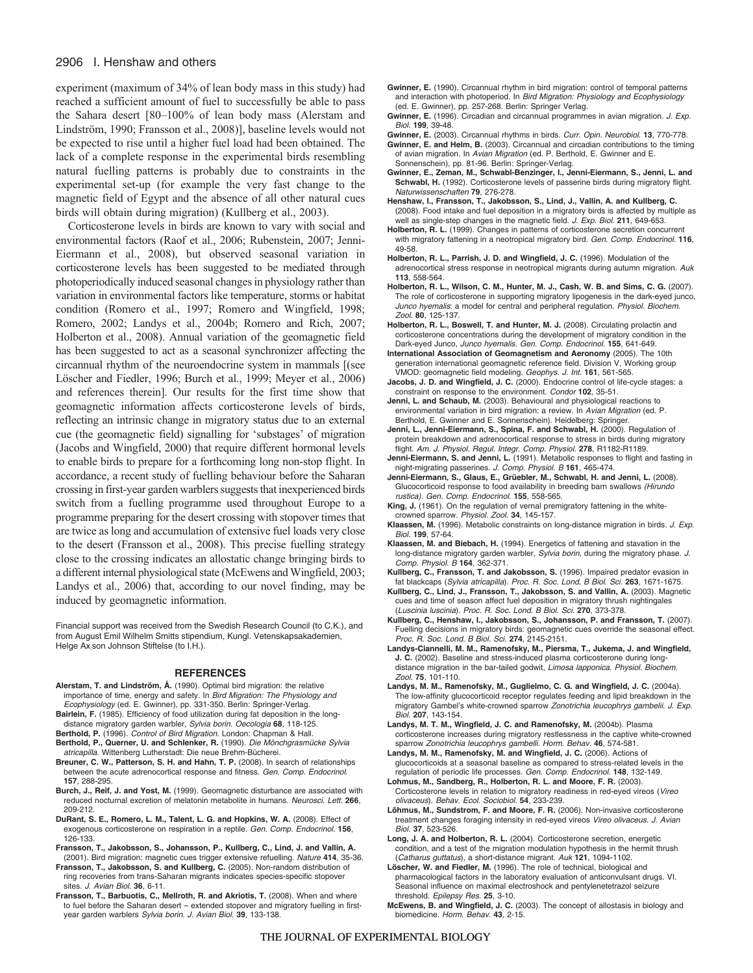## 2906 I. Henshaw and others

experiment (maximum of 34% of lean body mass in this study) had reached a sufficient amount of fuel to successfully be able to pass the Sahara desert [80–100% of lean body mass (Alerstam and Lindström, 1990; Fransson et al., 2008)], baseline levels would not be expected to rise until a higher fuel load had been obtained. The lack of a complete response in the experimental birds resembling natural fuelling patterns is probably due to constraints in the experimental set-up (for example the very fast change to the magnetic field of Egypt and the absence of all other natural cues birds will obtain during migration) (Kullberg et al., 2003).

Corticosterone levels in birds are known to vary with social and environmental factors (Raof et al., 2006; Rubenstein, 2007; Jenni-Eiermann et al., 2008), but observed seasonal variation in corticosterone levels has been suggested to be mediated through photoperiodically induced seasonal changes in physiology rather than variation in environmental factors like temperature, storms or habitat condition (Romero et al., 1997; Romero and Wingfield, 1998; Romero, 2002; Landys et al., 2004b; Romero and Rich, 2007; Holberton et al., 2008). Annual variation of the geomagnetic field has been suggested to act as a seasonal synchronizer affecting the circannual rhythm of the neuroendocrine system in mammals [(see Löscher and Fiedler, 1996; Burch et al., 1999; Meyer et al., 2006) and references therein]. Our results for the first time show that geomagnetic information affects corticosterone levels of birds, reflecting an intrinsic change in migratory status due to an external cue (the geomagnetic field) signalling for 'substages' of migration (Jacobs and Wingfield, 2000) that require different hormonal levels to enable birds to prepare for a forthcoming long non-stop flight. In accordance, a recent study of fuelling behaviour before the Saharan crossing in first-year garden warblers suggests that inexperienced birds switch from a fuelling programme used throughout Europe to a programme preparing for the desert crossing with stopover times that are twice as long and accumulation of extensive fuel loads very close to the desert (Fransson et al., 2008). This precise fuelling strategy close to the crossing indicates an allostatic change bringing birds to a different internal physiological state (McEwens and Wingfield, 2003; Landys et al., 2006) that, according to our novel finding, may be induced by geomagnetic information.

Financial support was received from the Swedish Research Council (to C.K.), and from August Emil Wilhelm Smitts stipendium, Kungl. Vetenskapsakademien, Helge Ax:son Johnson Stiftelse (to I.H.).

#### **REFERENCES**

- **Alerstam, T. and Lindström, Å.** (1990). Optimal bird migration: the relative importance of time, energy and safety. In Bird Migration: The Physiology and Ecophysiology (ed. E. Gwinner), pp. 331-350. Berlin: Springer-Verlag.
- **Bairlein, F.** (1985). Efficiency of food utilization during fat deposition in the longdistance migratory garden warbler, Sylvia borin. Oecologia **68**, 118-125.
- **Berthold, P.** (1996). Control of Bird Migration. London: Chapman & Hall.
- **Berthold, P., Querner, U. and Schlenker, R.** (1990). Die Mönchgrasmücke Sylvia atricapilla. Wittenberg Lutherstadt: Die neue Brehm-Bücherei.
- **Breuner, C. W., Patterson, S. H. and Hahn, T. P.** (2008). In search of relationships between the acute adrenocortical response and fitness. Gen. Comp. Endocrinol. **157**, 288-295.
- **Burch, J., Reif, J. and Yost, M.** (1999). Geomagnetic disturbance are associated with reduced nocturnal excretion of melatonin metabolite in humans. Neurosci. Lett. **266**, 209-212.
- **DuRant, S. E., Romero, L. M., Talent, L. G. and Hopkins, W. A.** (2008). Effect of exogenous corticosterone on respiration in a reptile. Gen. Comp. Endocrinol. **156**, 126-133.
- **Fransson, T., Jakobsson, S., Johansson, P., Kullberg, C., Lind, J. and Vallin, A.** (2001). Bird migration: magnetic cues trigger extensive refuelling. Nature **414**, 35-36.
- **Fransson, T., Jakobsson, S. and Kullberg, C.** (2005). Non-random distribution of ring recoveries from trans-Saharan migrants indicates species-specific stopover sites. J. Avian Biol. **36**, 6-11.
- **Fransson, T., Barbuotis, C., Mellroth, R. and Akriotis, T.** (2008). When and where to fuel before the Saharan desert – extended stopover and migratory fuelling in firstyear garden warblers Sylvia borin. J. Avian Biol. **39**, 133-138.
- **Gwinner, E.** (1990). Circannual rhythm in bird migration: control of temporal patterns and interaction with photoperiod. In Bird Migration: Physiology and Ecophysiology (ed. E. Gwinner), pp. 257-268. Berlin: Springer Verlag.
- **Gwinner, E.** (1996). Circadian and circannual programmes in avian migration. J. Exp. Biol. **199**, 39-48.
- **Gwinner, E.** (2003). Circannual rhythms in birds. Curr. Opin. Neurobiol. **13**, 770-778.
- **Gwinner, E. and Helm, B.** (2003). Circannual and circadian contributions to the timing of avian migration. In Avian Migration (ed. P. Berthold, E. Gwinner and E. Sonnenschein), pp. 81-96. Berlin: Springer-Verlag.
- **Gwinner, E., Zeman, M., Schwabl-Benzinger, I., Jenni-Eiermann, S., Jenni, L. and Schwabl, H.** (1992). Corticosterone levels of passerine birds during migratory flight. Naturwissenschaften **79**, 276-278.
- **Henshaw, I., Fransson, T., Jakobsson, S., Lind, J., Vallin, A. and Kullberg, C.** (2008). Food intake and fuel deposition in a migratory birds is affected by multiple as well as single-step changes in the magnetic field. J. Exp. Biol. **211**, 649-653.
- **Holberton, R. L.** (1999). Changes in patterns of corticosterone secretion concurrent with migratory fattening in a neotropical migratory bird. Gen. Comp. Endocrinol. **116**, 49-58.
- **Holberton, R. L., Parrish, J. D. and Wingfield, J. C.** (1996). Modulation of the adrenocortical stress response in neotropical migrants during autumn migration. Auk **113**, 558-564.
- **Holberton, R. L., Wilson, C. M., Hunter, M. J., Cash, W. B. and Sims, C. G.** (2007). The role of corticosterone in supporting migratory lipogenesis in the dark-eyed junco, Junco hyemalis: a model for central and peripheral regulation. Physiol. Biochem. Zool. **80**, 125-137.
- **Holberton, R. L., Boswell, T. and Hunter, M. J.** (2008). Circulating prolactin and corticosterone concentrations during the development of migratory condition in the Dark-eyed Junco, Junco hyemalis. Gen. Comp. Endocrinol. **155**, 641-649.
- **International Association of Geomagnetism and Aeronomy** (2005). The 10th generation international geomagnetic reference field. Division V, Working group VMOD: geomagnetic field modeling. Geophys. J. Int. **161**, 561-565.
- **Jacobs, J. D. and Wingfield, J. C.** (2000). Endocrine control of life-cycle stages: a constraint on response to the environment. Condor **102**, 35-51.
- **Jenni, L. and Schaub, M.** (2003). Behavioural and physiological reactions to environmental variation in bird migration: a review. In Avian Migration (ed. P. Berthold, E. Gwinner and E. Sonnenschein). Heidelberg: Springer.
- **Jenni, L., Jenni-Eiermann, S., Spina, F. and Schwabl, H.** (2000). Regulation of protein breakdown and adrenocortical response to stress in birds during migratory flight. Am. J. Physiol. Regul. Integr. Comp. Physiol. **278**, R1182-R1189.
- **Jenni-Eiermann, S. and Jenni, L.** (1991). Metabolic responses to flight and fasting in night-migrating passerines. J. Comp. Physiol. B **161**, 465-474.
- **Jenni-Eiermann, S., Glaus, E., Grüebler, M., Schwabl, H. and Jenni, L.** (2008). Glucocorticoid response to food availability in breeding barn swallows (Hirundo rustica). Gen. Comp. Endocrinol. **155**, 558-565.
- **King, J.** (1961). On the regulation of vernal premigratory fattening in the whitecrowned sparrow. Physiol. Zool. **34**, 145-157.
- **Klaassen, M.** (1996). Metabolic constraints on long-distance migration in birds. J. Exp. Biol. **199**, 57-64.
- **Klaassen, M. and Biebach, H.** (1994). Energetics of fattening and stavation in the long-distance migratory garden warbler, Sylvia borin, during the migratory phase. J. Comp. Physiol. B **164**, 362-371.
- **Kullberg, C., Fransson, T. and Jakobsson, S.** (1996). Impaired predator evasion in fat blackcaps (Sylvia atricapilla). Proc. R. Soc. Lond. B Biol. Sci. **263**, 1671-1675.
- **Kullberg, C., Lind, J., Fransson, T., Jakobsson, S. and Vallin, A.** (2003). Magnetic cues and time of season affect fuel deposition in migratory thrush nightingales (Luscinia luscinia). Proc. R. Soc. Lond. B Biol. Sci. **270**, 373-378.
- **Kullberg, C., Henshaw, I., Jakobsson, S., Johansson, P. and Fransson, T.** (2007). Fuelling decisions in migratory birds: geomagnetic cues override the seasonal effect. Proc. R. Soc. Lond. B Biol. Sci. **274**, 2145-2151.
- **Landys-Ciannelli, M. M., Ramenofsky, M., Piersma, T., Jukema, J. and Wingfield, J. C.** (2002). Baseline and stress-induced plasma corticosterone during longdistance migration in the bar-tailed godwit, Limosa lapponica. Physiol. Biochem. Zool. **75**, 101-110.
- **Landys, M. M., Ramenofsky, M., Guglielmo, C. G. and Wingfield, J. C.** (2004a). The low-affinity glucocorticoid receptor regulates feeding and lipid breakdown in the migratory Gambel's white-crowned sparrow Zonotrichia leucophrys gambelii. J. Exp. Biol. **207**, 143-154.
- **Landys, M. T. M., Wingfield, J. C. and Ramenofsky, M.** (2004b). Plasma corticosterone increases during migratory restlessness in the captive white-crowned sparrow Zonotrichia leucophrys gambelli. Horm. Behav. **46**, 574-581.
- **Landys, M. M., Ramenofsky, M. and Wingfield, J. C.** (2006). Actions of glucocorticoids at a seasonal baseline as compared to stress-related levels in the regulation of periodic life processes. Gen. Comp. Endocrinol. **148**, 132-149.
- **Lohmus, M., Sandberg, R., Holberton, R. L. and Moore, F. R.** (2003). Corticosterone levels in relation to migratory readiness in red-eyed vireos (Vireo olivaceus). Behav. Ecol. Sociobiol. **54**, 233-239.
- **Lõhmus, M., Sundstrom, F. and Moore, F. R.** (2006). Non-invasive corticosterone treatment changes foraging intensity in red-eyed vireos Vireo olivaceus. J. Avian Biol. **37**, 523-526.
- **Long, J. A. and Holberton, R. L.** (2004). Corticosterone secretion, energetic condition, and a test of the migration modulation hypothesis in the hermit thrush (Catharus guttatus), a short-distance migrant. Auk **121**, 1094-1102.
- **Löscher, W. and Fiedler, M.** (1996). The role of technical, biological and pharmacological factors in the laboratory evaluation of anticonvulsant drugs. VI. Seasonal influence on maximal electroshock and pentylenetetrazol seizure threshold. Epilepsy Res. **25**, 3-10.
- **McEwens, B. and Wingfield, J. C.** (2003). The concept of allostasis in biology and biomedicine. Horm. Behav. **43**, 2-15.